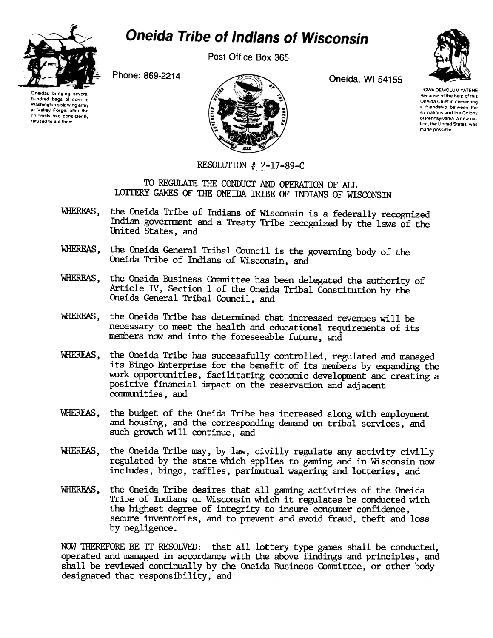

## **Oneida Tribe of Indians of Wisconsin**

Post Office Box 365



Phone: 869-2214 Oneida, WI 54155



UGWA DEMOLUM YATEHE Because of the help of this Oneida Chief in cementing a friendship between the SIX nations and the Colony of Pennsylvania, a new nation, the United States, was made possIble

## RESOLUTION  $# 2-17-89-C$

TO REGULATE THE CONDUCT AND OPERATION OF ALL LOTTERY GAMES OF THE ONEIDA TRIBE OF INDIANS OF WISCONSIN

- WHEREAS, the Oneida Tribe of Indians of Wisconsin is a federally recognized Indian govenment and a Treaty Tribe recognized by the laws of the United States, and
- WHEREAS, the Oneida General Tribal Council is the governing body of the Oneida Tribe of Indians of Wisconsin, and
- WHEREAS, the Oneida Business Conmittee has been delegated the authority of Article IV, Section 1 of the Oneida Tribal Constitution by the Oneida General Tribal Council, and
- WHEREAS, the Oneida Tribe has determined that increased revenues will be necessary to meet the health and educational requirements of its manbers now and into the foreseeable future, and
- WHEREAS, the Oneida Tribe has successfully controlled, regulated and managed its Bingo Enterprise for the benefit of its nenbers by expanding the work opportunities, facilitating economic development and creating a positive financial impact on the reservation and adjacent conmunities, and
- the budget of the Oneida Tribe has increased along with employment WHEREAS, and housing, and the corresponding demand on tribal services, and such growth will continue, and
- WHEREAS, the Oneida Tribe may, by law, civilly regulate any activity civilly regulated by the state which applies to gaming and in Wisconsin now includes, bingo, raffles, parimutual wagering and lotteries, and
- WHEREAS, the Oneida Tribe desires that all gaming activities of the Oneida Tribe of Indians of Wisconsin which it regulates be conducted with the highest degree of integrity to insure consurer confidence, secure inventories, and to prevent and avoid fraud, theft and loss by negligence.

NOW THEREFORE BE IT RESOLVED: that all lottery type games shall be conducted, operated and managed in accordance with the above findings and principles, and shall be reviewed continually by the Oneida Business Committee, or other body designated that responsibility, and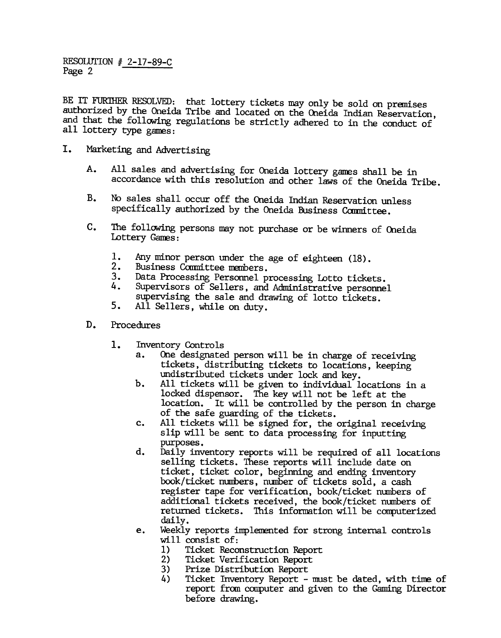RESOLUTION # 2-17-89-C Page 2

BE IT FURTHER RESOLVED: that lottery tickets may only be sold on premises authorized by the Oneida Tribe and located on the Oneida Indian Reservation, and that the following regulations be strictly adhered to in the conduct of all lottery type games:

- I. Marketing and Advertising
	- All sales and advertising for Oneida lottery games shall be in A. accordance with this resolution and other laws of the Oneida Tribe.
	- B. No sales shall occur off the Oneida Indian Reservation unless specifically authorized by the Oneida Business Committee.
	- C. The following persons may not purchase or be winners of Oneida Lottery Games:
		- 1. Any minor person under the age of eighteen (18).
		- 2. Business Committee members.
		- 3.<br>4. Data Processing Personnel processing Lotto tickets.
		- Supervisors of Sellers, and Administrative personnel supervising the sale and drawing of lotto tickets.
		- 5. All Sellers, while on duty.
	- D. Procedures
		- - a. One designated person will be in charge of receiving tickets, distributing tickets to locations, keeping undistributed tickets under lock and key.
			- b. All tickets will be given to individual locations in a locked dispensor. The key will not be left at the location. It will be controlled by the person in charge of the safe guarding of the tickets.
			- c. All tickets will be signed for, the original receiving slip will be sent to data processing for inputting purposes.
- 1. Inventory Controls<br>
a. One designate<br>
tickets, disi<br>
undistribute<br>
b. All tickets is<br>
locad disper<br>
locadion. If<br>
if the safe is<br>
c. All tickets<br>
selling tick<br>
suppress.<br>
d. Daily invent<br>
selling ticket, tick<br>
book/tick d. Daily inventory reports will be required of all locations selling tickets. These reports will include date on ticket, ticket color, beginning and ending inventory book/ticket numbers, number of tickets sold, a cash register tape for verification, book/ticket numbers of additional tickets received, the book/ticket numbers of returned tickets. This infonnation will be computerized daily.
	- e. Weekly reports implenented for strong internal controls will consist of:
		- 1) Ticket Reconstruction Report
		- 2) Ticket Verification Report
		- 3) Prize Distribution Report
		- 4) Ticket Inventory Report must be dated, with time of report from computer and given to the Gaming Director before drawing.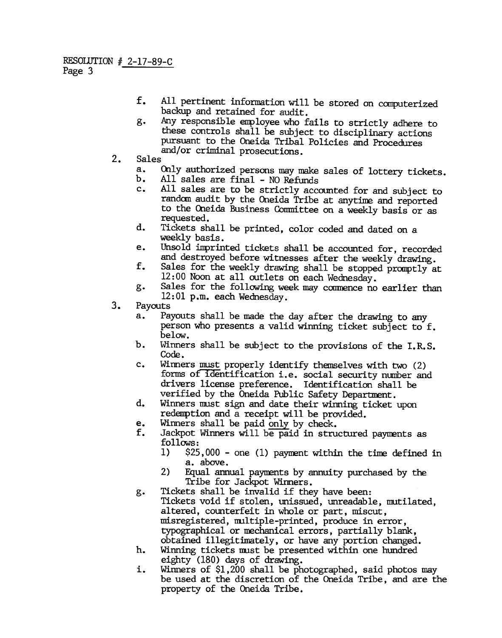- $f<sub>r</sub>$ All pertinent information will be stored on computerized backup and retained for audit.
- g. Any responsible enployee who fails to strictly adhere to these controls shall be subject to disciplinary actions pursuant to the Oneida Tribal Policies and Procedures and/or criminal prosecutions.<br>2. Sales<br>3. Only authorized persons may m
- - a. Only authorized persons may make sales of lottery tickets.
	- All sales are final NO Refunds
	- c. All sales are to be strictly accounted for and subject to random audit by the Oneida Tribe at anytime and reported to the Oneida Business Comnittee on a weekly basis or as requested.
	- d. TiCkets shall be printed, color coded and dated on a weekly basis.
	- e. Unsold imprinted tickets shall be accounted for, recorded and destroyed before witnesses after the weekly drawing.
	- f. Sales for the weekly drawing shall be stopped pranptly at 12: 00 Noon at all outlets on each Wednesday.
	- g. Sales for the following week may commence no earlier than 12: 01 p.m. each Wednesday.
- 3. Payouts<br>a. Pa
	- Payouts shall be made the day after the drawing to any person who presents a valid winning ticket subject to f. below.
	- Ъ. Winners shall be subject to the provisions of the I.R.S. Code.
	- c. Winners must properly identify themselves with two (2) forms of identification i.e. social security number and drivers license preference. Identification shall be verified by the Oneida Public Safety Department.
	- d. Winners must sign and date their winning ticket upon redemption and a receipt will be provided.
	- e. Winners shall be paid only by check.<br> $f$ . Jackpot Winners will be paid in stru
	- Jackpot Winners will be paid in structured payments as follows:
		- 1) \$25,000 -one (1) payment within the time defined in a. above.
		- 2) Equal annual payments by annuity purchased by the Tribe for Jackpot Winners.
	- g. Tickets shall be invalid if they have been: Tickets void if stolen, unissued, unreadable, mutilated, altered, counterfeit in whole or part, miscut, misregistered, multiple-printed, produce in error, typographical or mechanical errors, partially blank, obtained illegitimately, or have any portion changed.
	- h. Winning tickets must be presented within one hundred eighty (180) days of drawing.
	- i. Winners of \$1,200 shall be photographed, said photos may be used at the discretion of the Oneida Tribe, and are the property of the Oneida Tribe.